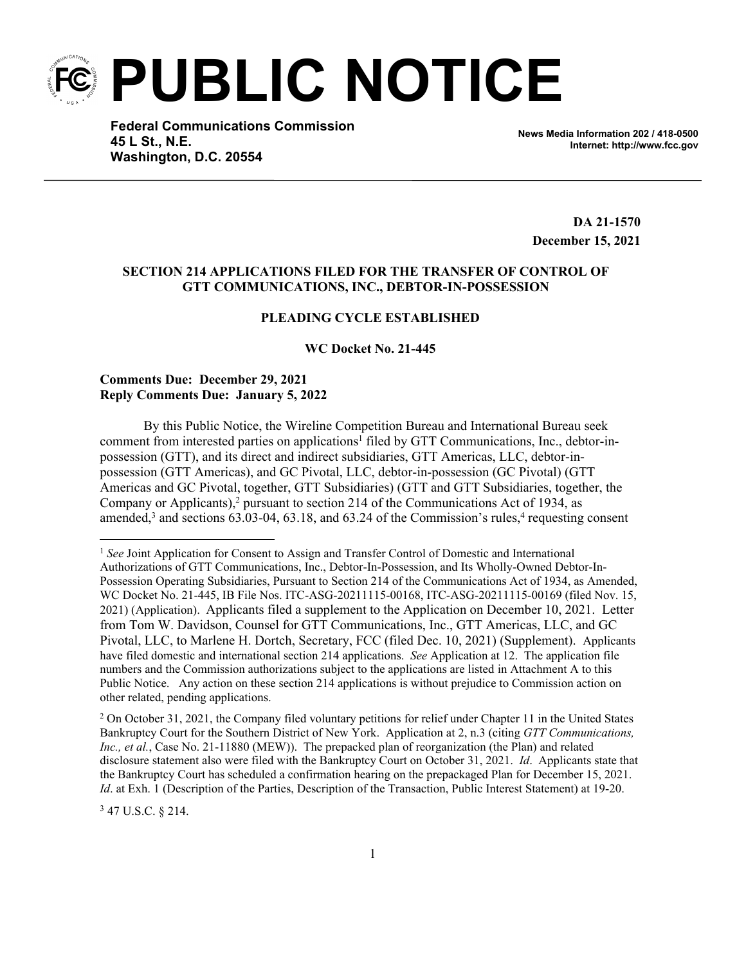**PUBLIC NOTICE**

**Federal Communications Commission 45 L St., N.E. Washington, D.C. 20554**

**News Media Information 202 / 418-0500 Internet: http://www.fcc.gov**

**DA 21-1570 December 15, 2021**

## **SECTION 214 APPLICATIONS FILED FOR THE TRANSFER OF CONTROL OF GTT COMMUNICATIONS, INC., DEBTOR-IN-POSSESSION**

## **PLEADING CYCLE ESTABLISHED**

**WC Docket No. 21-445**

### **Comments Due: December 29, 2021 Reply Comments Due: January 5, 2022**

By this Public Notice, the Wireline Competition Bureau and International Bureau seek comment from interested parties on applications<sup>1</sup> filed by GTT Communications, Inc., debtor-inpossession (GTT), and its direct and indirect subsidiaries, GTT Americas, LLC, debtor-inpossession (GTT Americas), and GC Pivotal, LLC, debtor-in-possession (GC Pivotal) (GTT Americas and GC Pivotal, together, GTT Subsidiaries) (GTT and GTT Subsidiaries, together, the Company or Applicants), $^2$  pursuant to section 214 of the Communications Act of 1934, as amended,<sup>3</sup> and sections  $63.03-04$ ,  $63.18$ , and  $63.24$  of the Commission's rules,<sup>4</sup> requesting consent

2 On October 31, 2021, the Company filed voluntary petitions for relief under Chapter 11 in the United States Bankruptcy Court for the Southern District of New York. Application at 2, n.3 (citing *GTT Communications, Inc., et al.*, Case No. 21-11880 (MEW)). The prepacked plan of reorganization (the Plan) and related disclosure statement also were filed with the Bankruptcy Court on October 31, 2021. *Id*. Applicants state that the Bankruptcy Court has scheduled a confirmation hearing on the prepackaged Plan for December 15, 2021. *Id*. at Exh. 1 (Description of the Parties, Description of the Transaction, Public Interest Statement) at 19-20.

<sup>3</sup> 47 U.S.C. § 214.

<sup>1</sup> *See* Joint Application for Consent to Assign and Transfer Control of Domestic and International Authorizations of GTT Communications, Inc., Debtor-In-Possession, and Its Wholly-Owned Debtor-In-Possession Operating Subsidiaries, Pursuant to Section 214 of the Communications Act of 1934, as Amended, WC Docket No. 21-445, IB File Nos. ITC-ASG-20211115-00168, ITC-ASG-20211115-00169 (filed Nov. 15, 2021) (Application). Applicants filed a supplement to the Application on December 10, 2021. Letter from Tom W. Davidson, Counsel for GTT Communications, Inc., GTT Americas, LLC, and GC Pivotal, LLC, to Marlene H. Dortch, Secretary, FCC (filed Dec. 10, 2021) (Supplement). Applicants have filed domestic and international section 214 applications. *See* Application at 12. The application file numbers and the Commission authorizations subject to the applications are listed in Attachment A to this Public Notice. Any action on these section 214 applications is without prejudice to Commission action on other related, pending applications.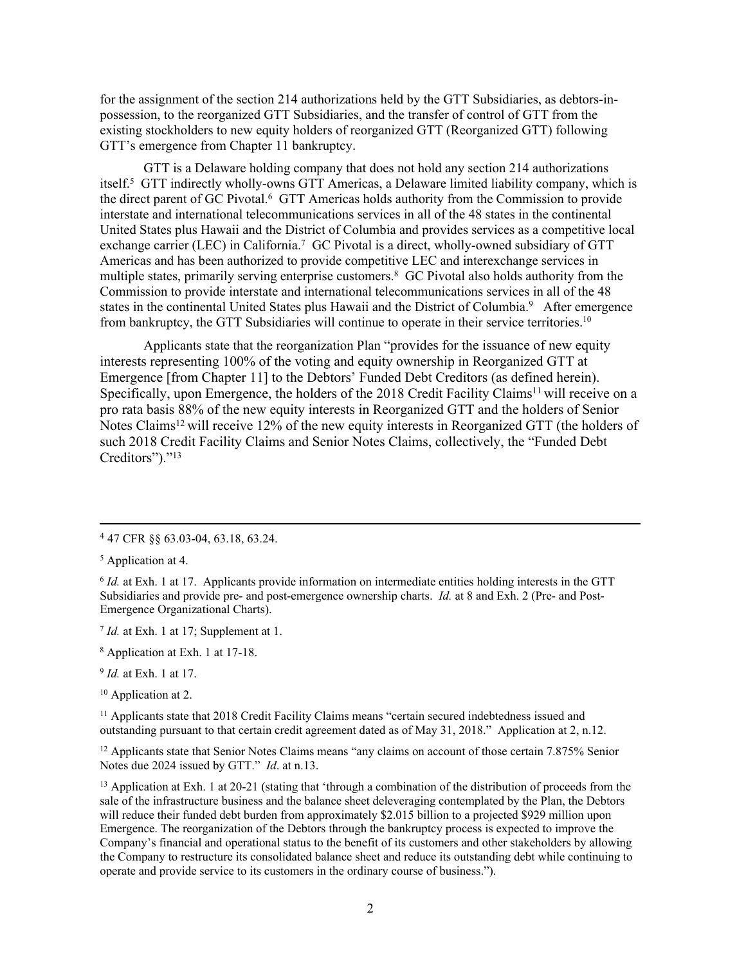for the assignment of the section 214 authorizations held by the GTT Subsidiaries, as debtors-inpossession, to the reorganized GTT Subsidiaries, and the transfer of control of GTT from the existing stockholders to new equity holders of reorganized GTT (Reorganized GTT) following GTT's emergence from Chapter 11 bankruptcy.

GTT is a Delaware holding company that does not hold any section 214 authorizations itself.<sup>5</sup> GTT indirectly wholly-owns GTT Americas, a Delaware limited liability company, which is the direct parent of GC Pivotal.<sup>6</sup> GTT Americas holds authority from the Commission to provide interstate and international telecommunications services in all of the 48 states in the continental United States plus Hawaii and the District of Columbia and provides services as a competitive local exchange carrier (LEC) in California.<sup>7</sup> GC Pivotal is a direct, wholly-owned subsidiary of GTT Americas and has been authorized to provide competitive LEC and interexchange services in multiple states, primarily serving enterprise customers.<sup>8</sup> GC Pivotal also holds authority from the Commission to provide interstate and international telecommunications services in all of the 48 states in the continental United States plus Hawaii and the District of Columbia.<sup>9</sup> After emergence from bankruptcy, the GTT Subsidiaries will continue to operate in their service territories.<sup>10</sup>

Applicants state that the reorganization Plan "provides for the issuance of new equity interests representing 100% of the voting and equity ownership in Reorganized GTT at Emergence [from Chapter 11] to the Debtors' Funded Debt Creditors (as defined herein). Specifically, upon Emergence, the holders of the 2018 Credit Facility Claims<sup>11</sup> will receive on a pro rata basis 88% of the new equity interests in Reorganized GTT and the holders of Senior Notes Claims<sup>12</sup> will receive 12% of the new equity interests in Reorganized GTT (the holders of such 2018 Credit Facility Claims and Senior Notes Claims, collectively, the "Funded Debt Creditors")."<sup>13</sup>

7 *Id.* at Exh. 1 at 17; Supplement at 1.

- 8 Application at Exh. 1 at 17-18.
- 9 *Id.* at Exh. 1 at 17.

<sup>10</sup> Application at 2.

<sup>11</sup> Applicants state that 2018 Credit Facility Claims means "certain secured indebtedness issued and outstanding pursuant to that certain credit agreement dated as of May 31, 2018." Application at 2, n.12.

<sup>12</sup> Applicants state that Senior Notes Claims means "any claims on account of those certain 7.875% Senior Notes due 2024 issued by GTT." *Id*. at n.13.

<sup>13</sup> Application at Exh. 1 at 20-21 (stating that 'through a combination of the distribution of proceeds from the sale of the infrastructure business and the balance sheet deleveraging contemplated by the Plan, the Debtors will reduce their funded debt burden from approximately \$2.015 billion to a projected \$929 million upon Emergence. The reorganization of the Debtors through the bankruptcy process is expected to improve the Company's financial and operational status to the benefit of its customers and other stakeholders by allowing the Company to restructure its consolidated balance sheet and reduce its outstanding debt while continuing to operate and provide service to its customers in the ordinary course of business.").

<sup>4</sup> 47 CFR §§ 63.03-04, 63.18, 63.24.

<sup>5</sup> Application at 4.

<sup>6</sup> *Id.* at Exh. 1 at 17. Applicants provide information on intermediate entities holding interests in the GTT Subsidiaries and provide pre- and post-emergence ownership charts. *Id.* at 8 and Exh. 2 (Pre- and Post-Emergence Organizational Charts).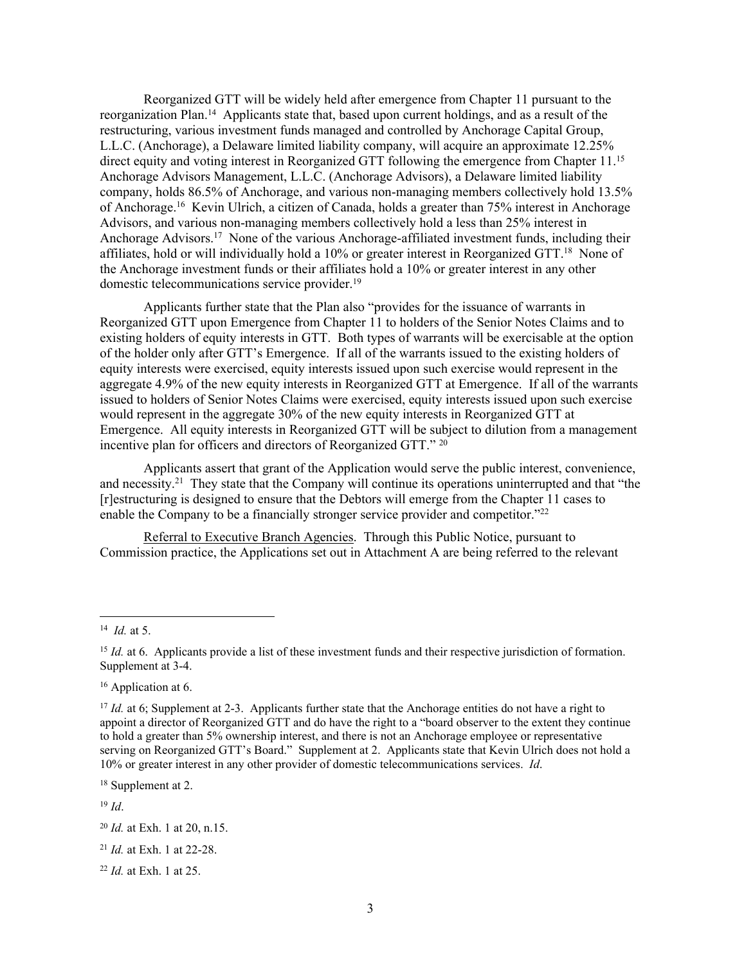Reorganized GTT will be widely held after emergence from Chapter 11 pursuant to the reorganization Plan.<sup>14</sup> Applicants state that, based upon current holdings, and as a result of the restructuring, various investment funds managed and controlled by Anchorage Capital Group, L.L.C. (Anchorage), a Delaware limited liability company, will acquire an approximate 12.25% direct equity and voting interest in Reorganized GTT following the emergence from Chapter 11.<sup>15</sup> Anchorage Advisors Management, L.L.C. (Anchorage Advisors), a Delaware limited liability company, holds 86.5% of Anchorage, and various non-managing members collectively hold 13.5% of Anchorage.<sup>16</sup> Kevin Ulrich, a citizen of Canada, holds a greater than 75% interest in Anchorage Advisors, and various non-managing members collectively hold a less than 25% interest in Anchorage Advisors.<sup>17</sup> None of the various Anchorage-affiliated investment funds, including their affiliates, hold or will individually hold a 10% or greater interest in Reorganized GTT.<sup>18</sup> None of the Anchorage investment funds or their affiliates hold a 10% or greater interest in any other domestic telecommunications service provider.<sup>19</sup>

Applicants further state that the Plan also "provides for the issuance of warrants in Reorganized GTT upon Emergence from Chapter 11 to holders of the Senior Notes Claims and to existing holders of equity interests in GTT. Both types of warrants will be exercisable at the option of the holder only after GTT's Emergence. If all of the warrants issued to the existing holders of equity interests were exercised, equity interests issued upon such exercise would represent in the aggregate 4.9% of the new equity interests in Reorganized GTT at Emergence. If all of the warrants issued to holders of Senior Notes Claims were exercised, equity interests issued upon such exercise would represent in the aggregate 30% of the new equity interests in Reorganized GTT at Emergence. All equity interests in Reorganized GTT will be subject to dilution from a management incentive plan for officers and directors of Reorganized GTT." <sup>20</sup>

Applicants assert that grant of the Application would serve the public interest, convenience, and necessity.<sup>21</sup> They state that the Company will continue its operations uninterrupted and that "the [r]estructuring is designed to ensure that the Debtors will emerge from the Chapter 11 cases to enable the Company to be a financially stronger service provider and competitor."<sup>22</sup>

Referral to Executive Branch Agencies. Through this Public Notice, pursuant to Commission practice, the Applications set out in Attachment A are being referred to the relevant

<sup>18</sup> Supplement at 2.

<sup>19</sup> *Id*.

<sup>14</sup> *Id.* at 5.

<sup>&</sup>lt;sup>15</sup> *Id.* at 6. Applicants provide a list of these investment funds and their respective jurisdiction of formation. Supplement at 3-4.

<sup>&</sup>lt;sup>16</sup> Application at 6.

<sup>&</sup>lt;sup>17</sup> *Id.* at 6; Supplement at 2-3. Applicants further state that the Anchorage entities do not have a right to appoint a director of Reorganized GTT and do have the right to a "board observer to the extent they continue to hold a greater than 5% ownership interest, and there is not an Anchorage employee or representative serving on Reorganized GTT's Board." Supplement at 2. Applicants state that Kevin Ulrich does not hold a 10% or greater interest in any other provider of domestic telecommunications services. *Id*.

<sup>20</sup> *Id.* at Exh. 1 at 20, n.15.

<sup>21</sup> *Id.* at Exh. 1 at 22-28.

<sup>22</sup> *Id.* at Exh. 1 at 25.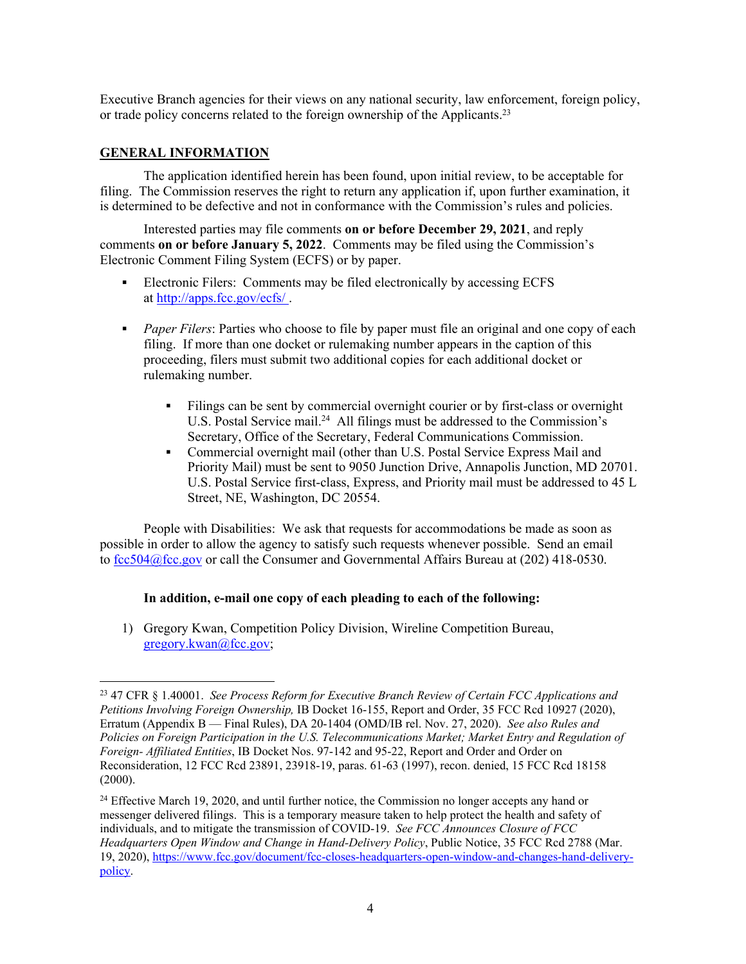Executive Branch agencies for their views on any national security, law enforcement, foreign policy, or trade policy concerns related to the foreign ownership of the Applicants.<sup>23</sup>

### **GENERAL INFORMATION**

The application identified herein has been found, upon initial review, to be acceptable for filing. The Commission reserves the right to return any application if, upon further examination, it is determined to be defective and not in conformance with the Commission's rules and policies.

Interested parties may file comments **on or before December 29, 2021**, and reply comments **on or before January 5, 2022**. Comments may be filed using the Commission's Electronic Comment Filing System (ECFS) or by paper.

- Electronic Filers: Comments may be filed electronically by accessing ECFS at <http://apps.fcc.gov/ecfs/> .
- **Paper Filers:** Parties who choose to file by paper must file an original and one copy of each filing. If more than one docket or rulemaking number appears in the caption of this proceeding, filers must submit two additional copies for each additional docket or rulemaking number.
	- Filings can be sent by commercial overnight courier or by first-class or overnight U.S. Postal Service mail.<sup>24</sup> All filings must be addressed to the Commission's Secretary, Office of the Secretary, Federal Communications Commission.
	- Commercial overnight mail (other than U.S. Postal Service Express Mail and Priority Mail) must be sent to 9050 Junction Drive, Annapolis Junction, MD 20701. U.S. Postal Service first-class, Express, and Priority mail must be addressed to 45 L Street, NE, Washington, DC 20554.

People with Disabilities: We ask that requests for accommodations be made as soon as possible in order to allow the agency to satisfy such requests whenever possible. Send an email to [fcc504@fcc.gov](mailto:fcc504@fcc.gov) or call the Consumer and Governmental Affairs Bureau at (202) 418-0530.

#### **In addition, e-mail one copy of each pleading to each of the following:**

1) Gregory Kwan, Competition Policy Division, Wireline Competition Bureau, [gregory.kwan@fcc.gov;](mailto:gregory.kwan@fcc.gov)

<sup>23</sup> 47 CFR § 1.40001. *See Process Reform for Executive Branch Review of Certain FCC Applications and Petitions Involving Foreign Ownership,* IB Docket 16-155, Report and Order, 35 FCC Rcd 10927 (2020), Erratum (Appendix B — Final Rules), DA 20-1404 (OMD/IB rel. Nov. 27, 2020). *See also Rules and Policies on Foreign Participation in the U.S. Telecommunications Market; Market Entry and Regulation of Foreign- Affiliated Entities*, IB Docket Nos. 97-142 and 95-22, Report and Order and Order on Reconsideration, 12 FCC Rcd 23891, 23918-19, paras. 61-63 (1997), recon. denied, 15 FCC Rcd 18158  $(2000).$ 

<sup>&</sup>lt;sup>24</sup> Effective March 19, 2020, and until further notice, the Commission no longer accepts any hand or messenger delivered filings. This is a temporary measure taken to help protect the health and safety of individuals, and to mitigate the transmission of COVID-19. *See FCC Announces Closure of FCC Headquarters Open Window and Change in Hand-Delivery Policy*, Public Notice, 35 FCC Rcd 2788 (Mar. 19, 2020), [https://www.fcc.gov/document/fcc-closes-headquarters-open-window-and-changes-hand-delivery](https://www.fcc.gov/document/fcc-closes-headquarters-open-window-and-changes-hand-delivery-policy)[policy](https://www.fcc.gov/document/fcc-closes-headquarters-open-window-and-changes-hand-delivery-policy).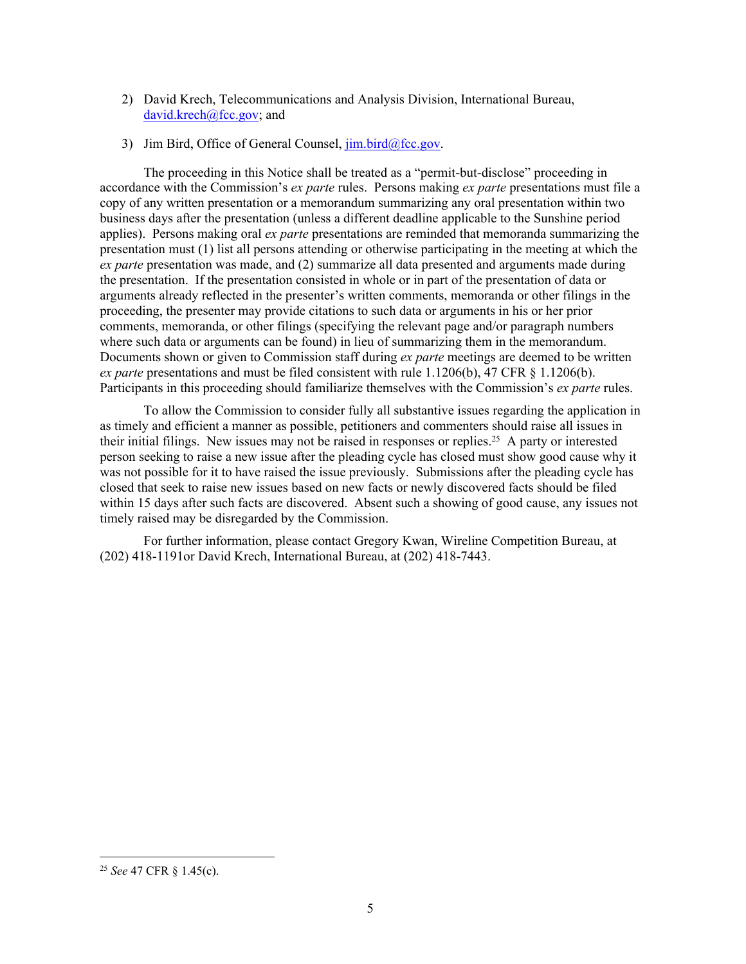- 2) David Krech, Telecommunications and Analysis Division, International Bureau, [david.krech@fcc.gov](mailto:david.krech@fcc.gov); and
- 3) Jim Bird, Office of General Counsel,  $\lim_{h \to 0} \frac{\text{bird}}{\text{det}}$

The proceeding in this Notice shall be treated as a "permit-but-disclose" proceeding in accordance with the Commission's *ex parte* rules. Persons making *ex parte* presentations must file a copy of any written presentation or a memorandum summarizing any oral presentation within two business days after the presentation (unless a different deadline applicable to the Sunshine period applies). Persons making oral *ex parte* presentations are reminded that memoranda summarizing the presentation must (1) list all persons attending or otherwise participating in the meeting at which the *ex parte* presentation was made, and (2) summarize all data presented and arguments made during the presentation. If the presentation consisted in whole or in part of the presentation of data or arguments already reflected in the presenter's written comments, memoranda or other filings in the proceeding, the presenter may provide citations to such data or arguments in his or her prior comments, memoranda, or other filings (specifying the relevant page and/or paragraph numbers where such data or arguments can be found) in lieu of summarizing them in the memorandum. Documents shown or given to Commission staff during *ex parte* meetings are deemed to be written *ex parte* presentations and must be filed consistent with rule 1.1206(b), 47 CFR § 1.1206(b). Participants in this proceeding should familiarize themselves with the Commission's *ex parte* rules.

To allow the Commission to consider fully all substantive issues regarding the application in as timely and efficient a manner as possible, petitioners and commenters should raise all issues in their initial filings. New issues may not be raised in responses or replies.<sup>25</sup> A party or interested person seeking to raise a new issue after the pleading cycle has closed must show good cause why it was not possible for it to have raised the issue previously. Submissions after the pleading cycle has closed that seek to raise new issues based on new facts or newly discovered facts should be filed within 15 days after such facts are discovered. Absent such a showing of good cause, any issues not timely raised may be disregarded by the Commission.

For further information, please contact Gregory Kwan, Wireline Competition Bureau, at (202) 418-1191or David Krech, International Bureau, at (202) 418-7443.

<sup>25</sup> *See* 47 CFR § 1.45(c).